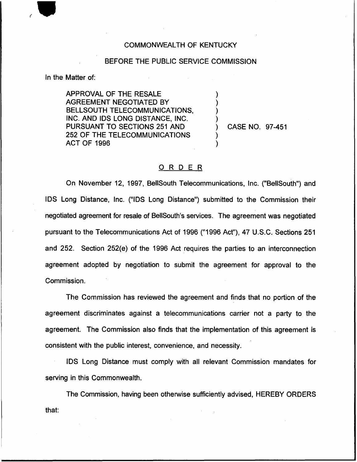## COMMONWEALTH OF KENTUCKY

## BEFORE THE PUBLIC SERVICE COMMISSION

) ) ) )

) )

In the Matter of:

APPROVAL OF THE RESALE AGREEMENT NEGOTIATED BY BELLSOUTH TELECOMMUNICATIONS, INC. AND IDS LONG DISTANCE, INC. PURSUANT TO SECTIONS 251 AND 252 OF THE TELECOMMUNICATIONS ACT OF 1996

) CASE NO. 97-451

## ORDER

On November 12, 1997, BellSouth Telecommunications, Inc. ("BellSouth") and IDS Long Distance, Inc. ("IDS Long Distance") submitted to the Commission thei negotiated agreement for resale of BellSouth's services. The agreement was negotiated pursuant to the Telecommunications Act of 1996 ("1996Act"), 47 U.S.C. Sections 251 and 252. Section 252(e) of the 1996 Act requires the parties to an interconnection agreement adopted by negotiation to submit the agreement for approval to the Commission.

The Commission has reviewed the agreement and finds that no portion of the agreement discriminates against a telecommunications carrier not a party to the agreement. The Commission also finds that the implementation of this agreement is consistent with the public interest, convenience, and necessity.

IDS Long Distance must comply with all relevant Commission mandates for serving in this Commonwealth.

The Commission, having been otherwise sufficiently advised, HEREBY ORDERSthat: